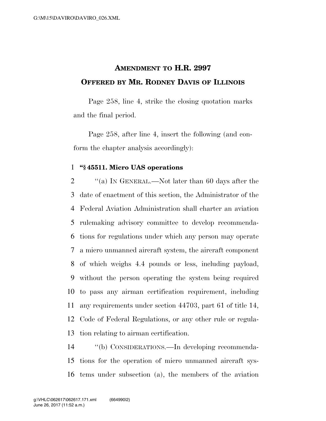## **AMENDMENT TO H.R. 2997 OFFERED BY MR. RODNEY DAVIS OF ILLINOIS**

Page 258, line 4, strike the closing quotation marks and the final period.

Page 258, after line 4, insert the following (and conform the chapter analysis accordingly):

## **''§ 45511. Micro UAS operations**

 ''(a) IN GENERAL.—Not later than 60 days after the date of enactment of this section, the Administrator of the Federal Aviation Administration shall charter an aviation rulemaking advisory committee to develop recommenda- tions for regulations under which any person may operate a micro unmanned aircraft system, the aircraft component of which weighs 4.4 pounds or less, including payload, without the person operating the system being required to pass any airman certification requirement, including any requirements under section 44703, part 61 of title 14, Code of Federal Regulations, or any other rule or regula-tion relating to airman certification.

 ''(b) CONSIDERATIONS.—In developing recommenda- tions for the operation of micro unmanned aircraft sys-tems under subsection (a), the members of the aviation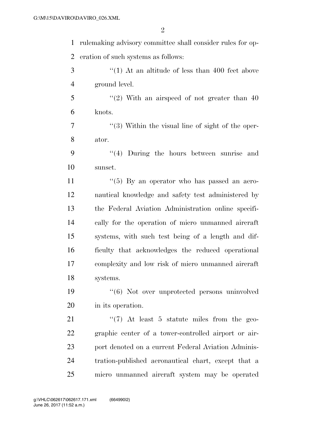rulemaking advisory committee shall consider rules for op-eration of such systems as follows:

- 3 ''(1) At an altitude of less than 400 feet above ground level.
- ''(2) With an airspeed of not greater than 40 knots.
- 7 ''(3) Within the visual line of sight of the oper-ator.
- ''(4) During the hours between sunrise and sunset.

 $\frac{1}{5}$   $\frac{1}{5}$  By an operator who has passed an aero- nautical knowledge and safety test administered by the Federal Aviation Administration online specifi- cally for the operation of micro unmanned aircraft systems, with such test being of a length and dif- ficulty that acknowledges the reduced operational complexity and low risk of micro unmanned aircraft systems.

 ''(6) Not over unprotected persons uninvolved in its operation.

21 ''(7) At least 5 statute miles from the geo- graphic center of a tower-controlled airport or air-23 port denoted on a current Federal Aviation Adminis- tration-published aeronautical chart, except that a micro unmanned aircraft system may be operated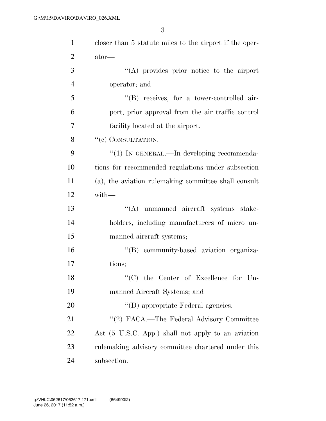| $\mathbf{1}$   | closer than 5 statute miles to the airport if the oper- |
|----------------|---------------------------------------------------------|
| $\overline{2}$ | ator—                                                   |
| 3              | "(A) provides prior notice to the airport               |
| $\overline{4}$ | operator; and                                           |
| 5              | "(B) receives, for a tower-controlled air-              |
| 6              | port, prior approval from the air traffic control       |
| 7              | facility located at the airport.                        |
| 8              | "(c) CONSULTATION.—                                     |
| 9              | $\cdot\cdot(1)$ In GENERAL.—In developing recommenda-   |
| 10             | tions for recommended regulations under subsection      |
| 11             | (a), the aviation rulemaking committee shall consult    |
| 12             | with-                                                   |
| 13             | "(A) unmanned aircraft systems stake-                   |
| 14             | holders, including manufacturers of micro un-           |
| 15             | manned aircraft systems;                                |
| 16             | "(B) community-based aviation organiza-                 |
| 17             | tions;                                                  |
| 18             | $\lq\lq$ (C) the Center of Excellence for Un-           |
| 19             | manned Aircraft Systems; and                            |
| 20             | "(D) appropriate Federal agencies.                      |
| 21             | "(2) FACA.—The Federal Advisory Committee               |
| 22             | Act (5 U.S.C. App.) shall not apply to an aviation      |
| 23             | rulemaking advisory committee chartered under this      |
| 24             | subsection.                                             |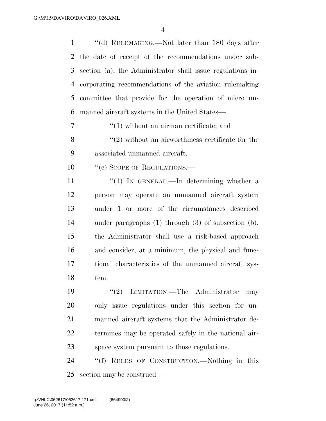1 ''(d) RULEMAKING.—Not later than 180 days after the date of receipt of the recommendations under sub- section (a), the Administrator shall issue regulations in- corporating recommendations of the aviation rulemaking committee that provide for the operation of micro un-manned aircraft systems in the United States—

7  $\frac{1}{1}$  without an airman certificate; and  $\mathcal{S}$  ''(2) without an airworthiness certificate for the associated unmanned aircraft.

10 "(e) SCOPE OF REGULATIONS.—

 $\frac{1}{1}$  In GENERAL.—In determining whether a person may operate an unmanned aircraft system under 1 or more of the circumstances described under paragraphs (1) through (3) of subsection (b), the Administrator shall use a risk-based approach and consider, at a minimum, the physical and func- tional characteristics of the unmanned aircraft sys-tem.

19 ''(2) LIMITATION.—The Administrator may only issue regulations under this section for un- manned aircraft systems that the Administrator de- termines may be operated safely in the national air-space system pursuant to those regulations.

 ''(f) RULES OF CONSTRUCTION.—Nothing in this section may be construed—